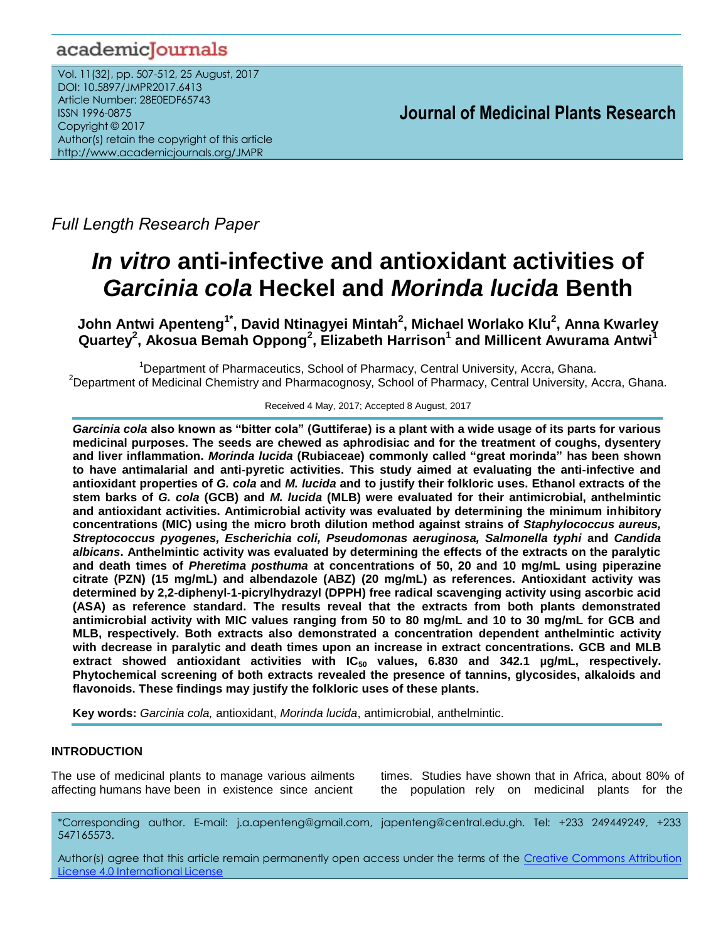# academicJournals

Vol. 11(32), pp. 507-512, 25 August, 2017 DOI: 10.5897/JMPR2017.6413 Article Number: 28E0EDF65743 ISSN 1996-0875 Copyright © 2017 Author(s) retain the copyright of this article http://www.academicjournals.org/JMPR

 **Journal of Medicinal Plants Research**

*Full Length Research Paper*

# *In vitro* **anti-infective and antioxidant activities of**  *Garcinia cola* **Heckel and** *Morinda lucida* **Benth**

**John Antwi Apenteng1\* , David Ntinagyei Mintah<sup>2</sup> , Michael Worlako Klu<sup>2</sup> , Anna Kwarley Quartey<sup>2</sup> , Akosua Bemah Oppong<sup>2</sup> , Elizabeth Harrison<sup>1</sup> and Millicent Awurama Antwi<sup>1</sup>**

<sup>1</sup>Department of Pharmaceutics, School of Pharmacy, Central University, Accra, Ghana. <sup>2</sup>Department of Medicinal Chemistry and Pharmacognosy, School of Pharmacy, Central University, Accra, Ghana.

Received 4 May, 2017; Accepted 8 August, 2017

*Garcinia cola* **also known as "bitter cola" (Guttiferae) is a plant with a wide usage of its parts for various medicinal purposes. The seeds are chewed as aphrodisiac and for the treatment of coughs, dysentery and liver inflammation.** *Morinda lucida* **(Rubiaceae) commonly called "great morinda" has been shown to have antimalarial and anti-pyretic activities. This study aimed at evaluating the anti-infective and antioxidant properties of** *G. cola* **and** *M. lucida* **and to justify their folkloric uses. Ethanol extracts of the stem barks of** *G. cola* **(GCB) and** *M. lucida* **(MLB) were evaluated for their antimicrobial, anthelmintic and antioxidant activities. Antimicrobial activity was evaluated by determining the minimum inhibitory concentrations (MIC) using the micro broth dilution method against strains of** *Staphylococcus aureus, Streptococcus pyogenes, Escherichia coli, Pseudomonas aeruginosa, Salmonella typhi* **and** *Candida albicans***. Anthelmintic activity was evaluated by determining the effects of the extracts on the paralytic and death times of** *Pheretima posthuma* **at concentrations of 50, 20 and 10 mg/mL using piperazine citrate (PZN) (15 mg/mL) and albendazole (ABZ) (20 mg/mL) as references. Antioxidant activity was determined by 2,2-diphenyl-1-picrylhydrazyl (DPPH) free radical scavenging activity using ascorbic acid (ASA) as reference standard. The results reveal that the extracts from both plants demonstrated antimicrobial activity with MIC values ranging from 50 to 80 mg/mL and 10 to 30 mg/mL for GCB and MLB, respectively. Both extracts also demonstrated a concentration dependent anthelmintic activity with decrease in paralytic and death times upon an increase in extract concentrations. GCB and MLB extract showed antioxidant activities with IC<sup>50</sup> values, 6.830 and 342.1 µg/mL, respectively. Phytochemical screening of both extracts revealed the presence of tannins, glycosides, alkaloids and flavonoids. These findings may justify the folkloric uses of these plants.**

**Key words:** *Garcinia cola,* antioxidant, *Morinda lucida*, antimicrobial, anthelmintic.

# **INTRODUCTION**

The use of medicinal plants to manage various ailments affecting humans have been in existence since ancient times. Studies have shown that in Africa, about 80% of the population rely on medicinal plants for the

\*Corresponding author. E-mail: j.a.apenteng@gmail.com, japenteng@central.edu.gh. Tel: +233 249449249, +233 547165573.

Author(s) agree that this article remain permanently open access under the terms of the Creative Commons [Attribution](http://creativecommons.org/licenses/by/4.0/deed.en_US)  License 4.0 [International](http://creativecommons.org/licenses/by/4.0/deed.en_US) License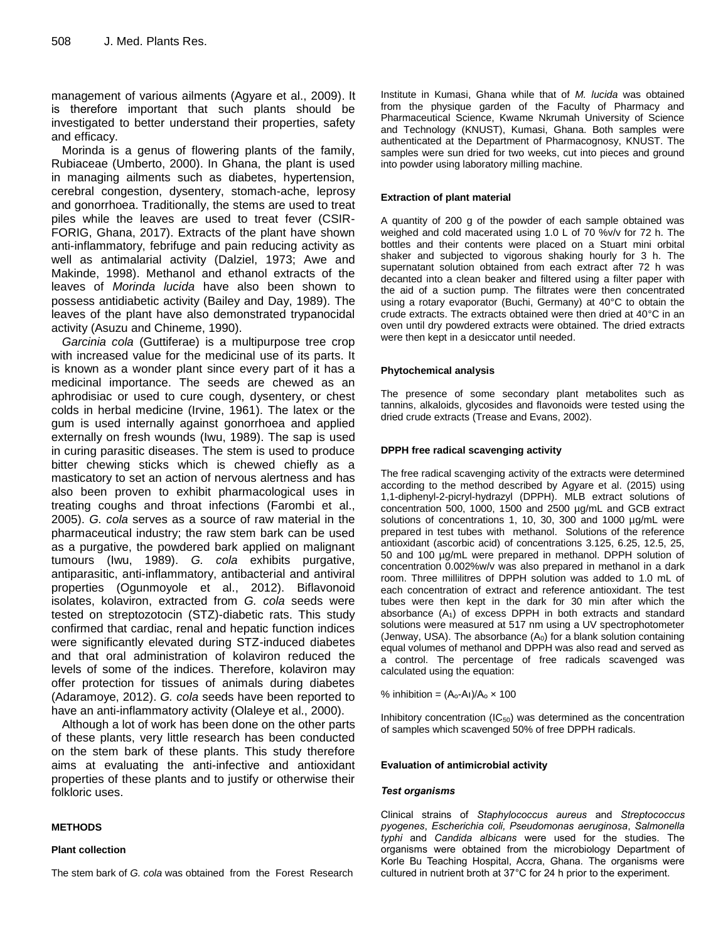management of various ailments (Agyare et al., 2009). It is therefore important that such plants should be investigated to better understand their properties, safety and efficacy.

Morinda is a genus of flowering plants of the family, Rubiaceae (Umberto, 2000). In Ghana, the plant is used in managing ailments such as diabetes, hypertension, cerebral congestion, dysentery, stomach-ache, leprosy and gonorrhoea. Traditionally, the stems are used to treat piles while the leaves are used to treat fever (CSIR-FORIG, Ghana, 2017). Extracts of the plant have shown anti-inflammatory, febrifuge and pain reducing activity as well as antimalarial activity (Dalziel, 1973; Awe and Makinde, 1998). Methanol and ethanol extracts of the leaves of *Morinda lucida* have also been shown to possess antidiabetic activity (Bailey and Day, 1989). The leaves of the plant have also demonstrated trypanocidal activity (Asuzu and Chineme, 1990).

*Garcinia cola* (Guttiferae) is a multipurpose tree crop with increased value for the medicinal use of its parts. It is known as a wonder plant since every part of it has a medicinal importance. The seeds are chewed as an aphrodisiac or used to cure cough, dysentery, or chest colds in herbal medicine (Irvine, 1961). The latex or the gum is used internally against gonorrhoea and applied externally on fresh wounds (Iwu, 1989). The sap is used in curing parasitic diseases. The stem is used to produce bitter chewing sticks which is chewed chiefly as a masticatory to set an action of nervous alertness and has also been proven to exhibit pharmacological uses in treating coughs and throat infections (Farombi et al., 2005). *G. cola* serves as a source of raw material in the pharmaceutical industry; the raw stem bark can be used as a purgative, the powdered bark applied on malignant tumours (Iwu, 1989). *G. cola* exhibits purgative, antiparasitic, anti-inflammatory, antibacterial and antiviral properties (Ogunmoyole et al., 2012). Biflavonoid isolates, kolaviron, extracted from *G. cola* seeds were tested on streptozotocin (STZ)-diabetic rats. This study confirmed that cardiac, renal and hepatic function indices were significantly elevated during STZ-induced diabetes and that oral administration of kolaviron reduced the levels of some of the indices. Therefore, kolaviron may offer protection for tissues of animals during diabetes (Adaramoye, 2012). *G. cola* seeds have been reported to have an anti-inflammatory activity (Olaleye et al., 2000).

Although a lot of work has been done on the other parts of these plants, very little research has been conducted on the stem bark of these plants. This study therefore aims at evaluating the anti-infective and antioxidant properties of these plants and to justify or otherwise their folkloric uses.

#### **METHODS**

#### **Plant collection**

The stem bark of *G. cola* was obtained from the Forest Research

Institute in Kumasi, Ghana while that of *M. lucida* was obtained from the physique garden of the Faculty of Pharmacy and Pharmaceutical Science, Kwame Nkrumah University of Science and Technology (KNUST), Kumasi, Ghana. Both samples were authenticated at the Department of Pharmacognosy, KNUST. The samples were sun dried for two weeks, cut into pieces and ground into powder using laboratory milling machine.

#### **Extraction of plant material**

A quantity of 200 g of the powder of each sample obtained was weighed and cold macerated using 1.0 L of 70 %v/v for 72 h. The bottles and their contents were placed on a Stuart mini orbital shaker and subjected to vigorous shaking hourly for 3 h. The supernatant solution obtained from each extract after 72 h was decanted into a clean beaker and filtered using a filter paper with the aid of a suction pump. The filtrates were then concentrated using a rotary evaporator (Buchi, Germany) at 40°C to obtain the crude extracts. The extracts obtained were then dried at 40°C in an oven until dry powdered extracts were obtained. The dried extracts were then kept in a desiccator until needed.

#### **Phytochemical analysis**

The presence of some secondary plant metabolites such as tannins, alkaloids, glycosides and flavonoids were tested using the dried crude extracts (Trease and Evans, 2002).

#### **DPPH free radical scavenging activity**

The free radical scavenging activity of the extracts were determined according to the method described by Agyare et al. (2015) using 1,1-diphenyl-2-picryl-hydrazyl (DPPH). MLB extract solutions of concentration 500, 1000, 1500 and 2500 µg/mL and GCB extract solutions of concentrations 1, 10, 30, 300 and 1000 µg/mL were prepared in test tubes with methanol. Solutions of the reference antioxidant (ascorbic acid) of concentrations 3.125, 6.25, 12.5, 25, 50 and 100 µg/mL were prepared in methanol. DPPH solution of concentration 0.002%w/v was also prepared in methanol in a dark room. Three millilitres of DPPH solution was added to 1.0 mL of each concentration of extract and reference antioxidant. The test tubes were then kept in the dark for 30 min after which the absorbance  $(A_1)$  of excess DPPH in both extracts and standard solutions were measured at 517 nm using a UV spectrophotometer (Jenway, USA). The absorbance  $(A_0)$  for a blank solution containing equal volumes of methanol and DPPH was also read and served as a control. The percentage of free radicals scavenged was calculated using the equation:

% inhibition =  $(A_0-A_1)/A_0 \times 100$ 

Inhibitory concentration  $(IC_{50})$  was determined as the concentration of samples which scavenged 50% of free DPPH radicals.

#### **Evaluation of antimicrobial activity**

#### *Test organisms*

Clinical strains of *Staphylococcus aureus* and *Streptococcus pyogenes*, *Escherichia coli, Pseudomonas aeruginosa*, *Salmonella typhi* and *Candida albicans* were used for the studies. The organisms were obtained from the microbiology Department of Korle Bu Teaching Hospital, Accra, Ghana. The organisms were cultured in nutrient broth at 37°C for 24 h prior to the experiment.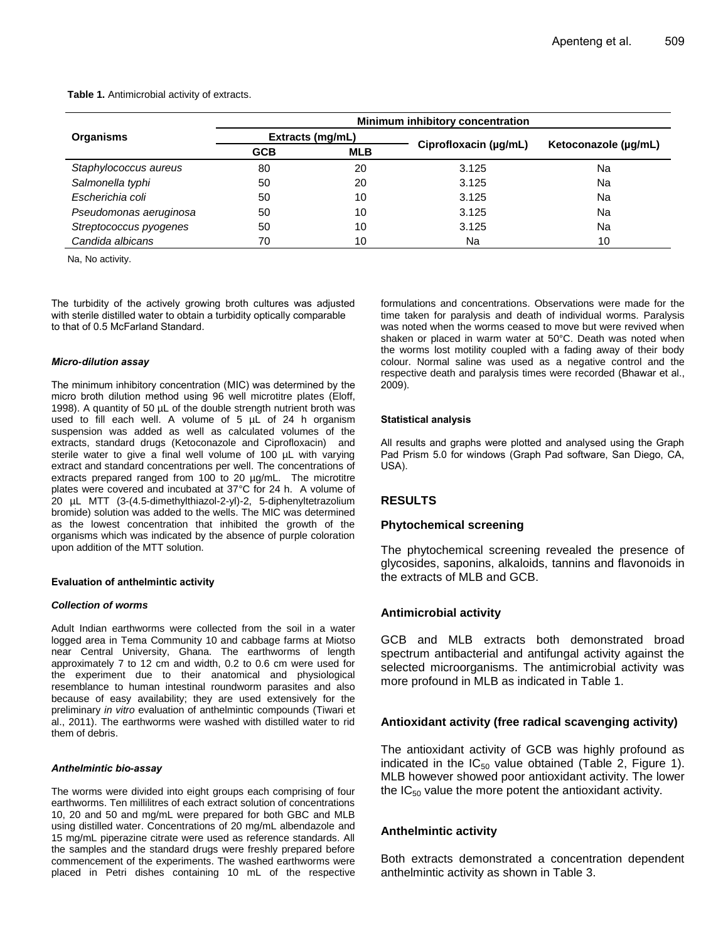**Table 1.** Antimicrobial activity of extracts.

|                        | Minimum inhibitory concentration |            |                       |                      |  |
|------------------------|----------------------------------|------------|-----------------------|----------------------|--|
| Organisms              | Extracts (mg/mL)                 |            |                       |                      |  |
|                        | <b>GCB</b>                       | <b>MLB</b> | Ciprofloxacin (µg/mL) | Ketoconazole (µg/mL) |  |
| Staphylococcus aureus  | 80                               | 20         | 3.125                 | Na                   |  |
| Salmonella typhi       | 50                               | 20         | 3.125                 | Na                   |  |
| Escherichia coli       | 50                               | 10         | 3.125                 | Na                   |  |
| Pseudomonas aeruginosa | 50                               | 10         | 3.125                 | Na                   |  |
| Streptococcus pyogenes | 50                               | 10         | 3.125                 | Na                   |  |
| Candida albicans       | 70                               | 10         | Na                    | 10                   |  |

Na, No activity.

The turbidity of the actively growing broth cultures was adjusted with sterile distilled water to obtain a turbidity optically comparable to that of 0.5 McFarland Standard.

#### *Micro-dilution assay*

The minimum inhibitory concentration (MIC) was determined by the micro broth dilution method using 96 well microtitre plates (Eloff, 1998). A quantity of 50 µL of the double strength nutrient broth was used to fill each well. A volume of 5 µL of 24 h organism suspension was added as well as calculated volumes of the extracts, standard drugs (Ketoconazole and Ciprofloxacin) and sterile water to give a final well volume of 100 µL with varying extract and standard concentrations per well. The concentrations of extracts prepared ranged from 100 to 20 µg/mL. The microtitre plates were covered and incubated at 37°C for 24 h. A volume of 20 µL MTT (3-(4.5-dimethylthiazol-2-yl)-2, 5-diphenyltetrazolium bromide) solution was added to the wells. The MIC was determined as the lowest concentration that inhibited the growth of the organisms which was indicated by the absence of purple coloration upon addition of the MTT solution.

#### **Evaluation of anthelmintic activity**

#### *Collection of worms*

Adult Indian earthworms were collected from the soil in a water logged area in Tema Community 10 and cabbage farms at Miotso near Central University, Ghana. The earthworms of length approximately 7 to 12 cm and width, 0.2 to 0.6 cm were used for the experiment due to their anatomical and physiological resemblance to human intestinal roundworm parasites and also because of easy availability; they are used extensively for the preliminary *in vitro* evaluation of anthelmintic compounds (Tiwari et al., 2011). The earthworms were washed with distilled water to rid them of debris.

#### *Anthelmintic bio-assay*

The worms were divided into eight groups each comprising of four earthworms. Ten millilitres of each extract solution of concentrations 10, 20 and 50 and mg/mL were prepared for both GBC and MLB using distilled water. Concentrations of 20 mg/mL albendazole and 15 mg/mL piperazine citrate were used as reference standards. All the samples and the standard drugs were freshly prepared before commencement of the experiments. The washed earthworms were placed in Petri dishes containing 10 mL of the respective formulations and concentrations. Observations were made for the time taken for paralysis and death of individual worms. Paralysis was noted when the worms ceased to move but were revived when shaken or placed in warm water at 50°C. Death was noted when the worms lost motility coupled with a fading away of their body colour. Normal saline was used as a negative control and the respective death and paralysis times were recorded (Bhawar et al., 2009).

#### **Statistical analysis**

All results and graphs were plotted and analysed using the Graph Pad Prism 5.0 for windows (Graph Pad software, San Diego, CA, USA).

# **RESULTS**

#### **Phytochemical screening**

The phytochemical screening revealed the presence of glycosides, saponins, alkaloids, tannins and flavonoids in the extracts of MLB and GCB.

# **Antimicrobial activity**

GCB and MLB extracts both demonstrated broad spectrum antibacterial and antifungal activity against the selected microorganisms. The antimicrobial activity was more profound in MLB as indicated in Table 1.

# **Antioxidant activity (free radical scavenging activity)**

The antioxidant activity of GCB was highly profound as indicated in the  $IC_{50}$  value obtained (Table 2, Figure 1). MLB however showed poor antioxidant activity. The lower the  $IC_{50}$  value the more potent the antioxidant activity.

# **Anthelmintic activity**

Both extracts demonstrated a concentration dependent anthelmintic activity as shown in Table 3.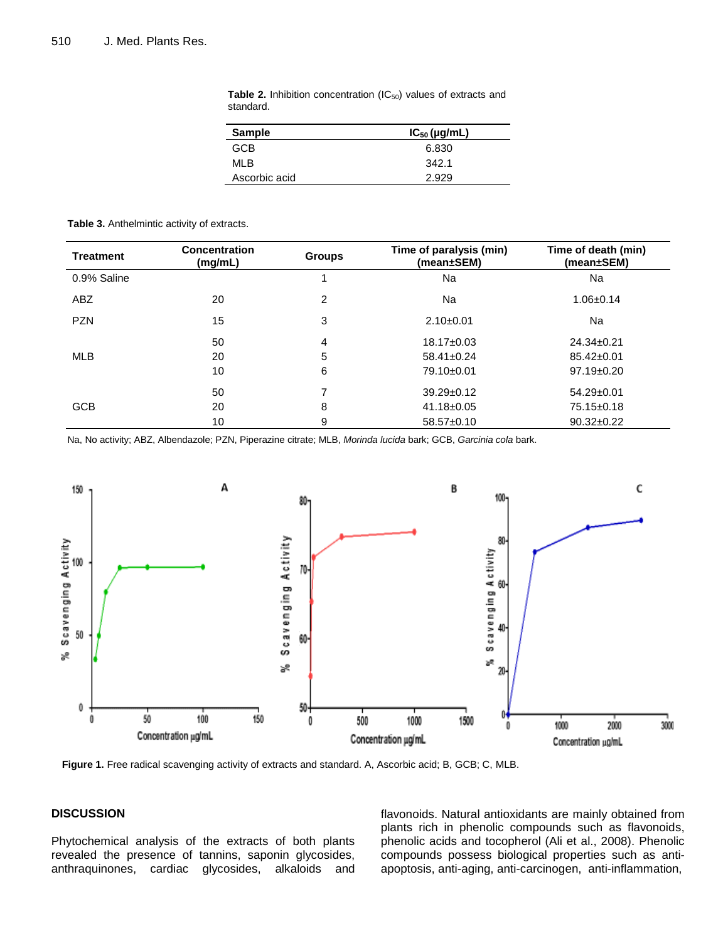| <b>Sample</b> | $IC_{50}$ (µg/mL) |  |
|---------------|-------------------|--|
| <b>GCB</b>    | 6.830             |  |
| ML B          | 342.1             |  |
| Ascorbic acid | 2.929             |  |

Table 2. Inhibition concentration (IC<sub>50</sub>) values of extracts and standard.

#### **Table 3.** Anthelmintic activity of extracts.

| <b>Treatment</b> | <b>Concentration</b><br>(mg/mL) | <b>Groups</b> | Time of paralysis (min)<br>(mean±SEM) | Time of death (min)<br>(mean±SEM) |
|------------------|---------------------------------|---------------|---------------------------------------|-----------------------------------|
| 0.9% Saline      |                                 |               | Na                                    | Na                                |
| ABZ              | 20                              | 2             | Na                                    | $1.06 \pm 0.14$                   |
| <b>PZN</b>       | 15                              | 3             | $2.10+0.01$                           | Na                                |
| <b>MLB</b>       | 50                              | 4             | $18.17 \pm 0.03$                      | $24.34 \pm 0.21$                  |
|                  | 20                              | 5             | $58.41 \pm 0.24$                      | $85.42 \pm 0.01$                  |
|                  | 10                              | 6             | 79.10±0.01                            | $97.19 \pm 0.20$                  |
| <b>GCB</b>       | 50                              |               | $39.29 \pm 0.12$                      | $54.29 \pm 0.01$                  |
|                  | 20                              | 8             | $41.18 \pm 0.05$                      | 75.15±0.18                        |
|                  | 10                              | 9             | $58.57 \pm 0.10$                      | $90.32 \pm 0.22$                  |

Na, No activity; ABZ, Albendazole; PZN, Piperazine citrate; MLB, *Morinda lucida* bark; GCB, *Garcinia cola* bark.



**Figure 1.** Free radical scavenging activity of extracts and standard. A, Ascorbic acid; B, GCB; C, MLB.

# **DISCUSSION**

Phytochemical analysis of the extracts of both plants revealed the presence of tannins, saponin glycosides, anthraquinones, cardiac glycosides, alkaloids and flavonoids. Natural antioxidants are mainly obtained from plants rich in phenolic compounds such as flavonoids, phenolic acids and tocopherol (Ali et al., 2008). Phenolic compounds possess biological properties such as antiapoptosis, anti-aging, anti-carcinogen, anti-inflammation,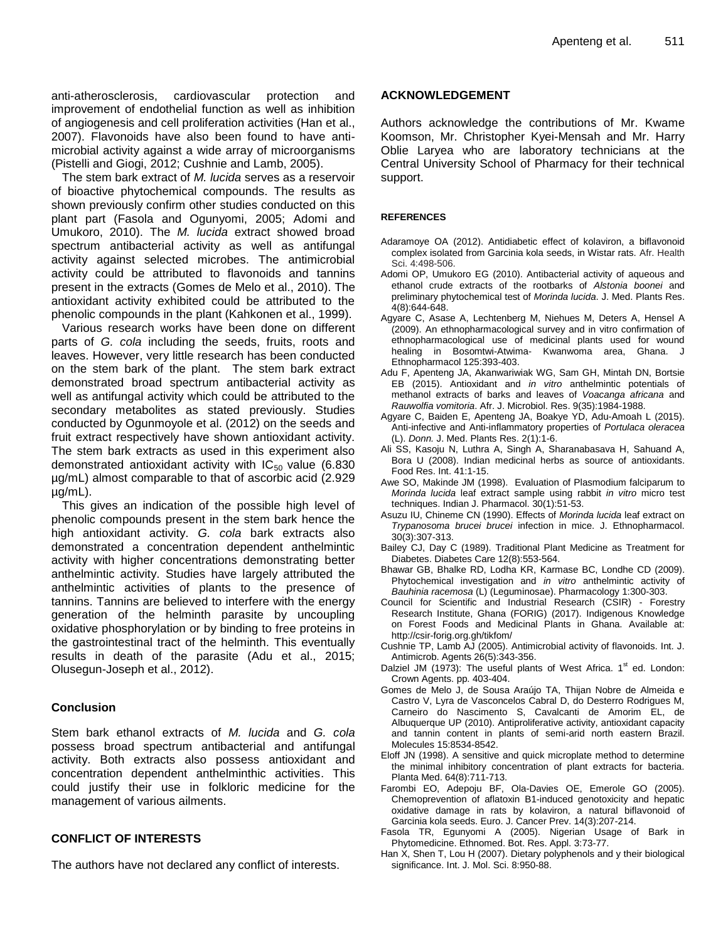anti-atherosclerosis, cardiovascular protection and improvement of endothelial function as well as inhibition of angiogenesis and cell proliferation activities (Han et al., 2007). Flavonoids have also been found to have antimicrobial activity against a wide array of microorganisms (Pistelli and Giogi, 2012; Cushnie and Lamb, 2005).

The stem bark extract of *M. lucida* serves as a reservoir of bioactive phytochemical compounds. The results as shown previously confirm other studies conducted on this plant part (Fasola and Ogunyomi, 2005; Adomi and Umukoro, 2010). The *M. lucida* extract showed broad spectrum antibacterial activity as well as antifungal activity against selected microbes. The antimicrobial activity could be attributed to flavonoids and tannins present in the extracts (Gomes de Melo et al., 2010). The antioxidant activity exhibited could be attributed to the phenolic compounds in the plant (Kahkonen et al., 1999).

Various research works have been done on different parts of *G. cola* including the seeds, fruits, roots and leaves. However, very little research has been conducted on the stem bark of the plant. The stem bark extract demonstrated broad spectrum antibacterial activity as well as antifungal activity which could be attributed to the secondary metabolites as stated previously. Studies conducted by Ogunmoyole et al. (2012) on the seeds and fruit extract respectively have shown antioxidant activity. The stem bark extracts as used in this experiment also demonstrated antioxidant activity with  $IC_{50}$  value (6.830) µg/mL) almost comparable to that of ascorbic acid (2.929 µg/mL).

This gives an indication of the possible high level of phenolic compounds present in the stem bark hence the high antioxidant activity. *G. cola* bark extracts also demonstrated a concentration dependent anthelmintic activity with higher concentrations demonstrating better anthelmintic activity. Studies have largely attributed the anthelmintic activities of plants to the presence of tannins. Tannins are believed to interfere with the energy generation of the helminth parasite by uncoupling oxidative phosphorylation or by binding to free proteins in the gastrointestinal tract of the helminth. This eventually results in death of the parasite (Adu et al., 2015; Olusegun-Joseph et al., 2012).

# **Conclusion**

Stem bark ethanol extracts of *M. lucida* and *G. cola* possess broad spectrum antibacterial and antifungal activity. Both extracts also possess antioxidant and concentration dependent anthelminthic activities. This could justify their use in folkloric medicine for the management of various ailments.

# **CONFLICT OF INTERESTS**

The authors have not declared any conflict of interests.

# **ACKNOWLEDGEMENT**

Authors acknowledge the contributions of Mr. Kwame Koomson, Mr. Christopher Kyei-Mensah and Mr. Harry Oblie Laryea who are laboratory technicians at the Central University School of Pharmacy for their technical support.

### **REFERENCES**

- Adaramoye OA (2012). Antidiabetic effect of kolaviron, a biflavonoid complex isolated from Garcinia kola seeds, in Wistar rats. Afr. Health Sci. 4:498-506.
- Adomi OP, Umukoro EG (2010). Antibacterial activity of aqueous and ethanol crude extracts of the rootbarks of *Alstonia boonei* and preliminary phytochemical test of *Morinda lucida*. J. Med. Plants Res. 4(8):644-648.
- Agyare C, Asase A, Lechtenberg M, Niehues M, Deters A, Hensel A (2009). An ethnopharmacological survey and in vitro confirmation of ethnopharmacological use of medicinal plants used for wound healing in Bosomtwi-Atwima- Kwanwoma area, Ghana. J Ethnopharmacol 125:393-403.
- Adu F, Apenteng JA, Akanwariwiak WG, Sam GH, Mintah DN, Bortsie EB (2015). Antioxidant and *in vitro* anthelmintic potentials of methanol extracts of barks and leaves of *Voacanga africana* and *Rauwolfia vomitoria*. Afr. J. Microbiol. Res. 9(35):1984-1988.
- Agyare C, Baiden E, Apenteng JA, Boakye YD, Adu-Amoah L (2015). Anti-infective and Anti-inflammatory properties of *Portulaca oleracea* (L). *Donn.* J. Med. Plants Res. 2(1):1-6.
- Ali SS, Kasoju N, Luthra A, Singh A, Sharanabasava H, Sahuand A, Bora U (2008). Indian medicinal herbs as source of antioxidants. Food Res. Int. 41:1-15.
- Awe SO, Makinde JM (1998). Evaluation of Plasmodium falciparum to *Morinda lucida* leaf extract sample using rabbit *in vitro* micro test techniques. Indian J. Pharmacol. 30(1):51-53.
- Asuzu IU, Chineme CN (1990). Effects of *Morinda lucida* leaf extract on *Trypanosoma brucei brucei* infection in mice. J. Ethnopharmacol. 30(3):307-313.
- Bailey CJ, Day C (1989). Traditional Plant Medicine as Treatment for Diabetes. Diabetes Care 12(8):553-564.
- Bhawar GB, Bhalke RD, Lodha KR, Karmase BC, Londhe CD (2009). Phytochemical investigation and *in vitro* anthelmintic activity of *Bauhinia racemosa* (L) (Leguminosae). Pharmacology 1:300-303.
- Council for Scientific and Industrial Research (CSIR) Forestry Research Institute, Ghana (FORIG) (2017). Indigenous Knowledge on Forest Foods and Medicinal Plants in Ghana. Available at: http://csir-forig.org.gh/tikfom/
- Cushnie TP, Lamb AJ (2005). Antimicrobial activity of flavonoids. Int. J. Antimicrob. Agents 26(5):343-356.
- Dalziel JM (1973): The useful plants of West Africa.  $1<sup>st</sup>$  ed. London: Crown Agents. pp. 403-404.
- Gomes de Melo J, de Sousa Araújo TA, Thijan Nobre de Almeida e Castro V, Lyra de Vasconcelos Cabral D, do Desterro Rodrigues M, Carneiro do Nascimento S, Cavalcanti de Amorim EL, de Albuquerque UP (2010). Antiproliferative activity, antioxidant capacity and tannin content in plants of semi-arid north eastern Brazil. Molecules 15:8534-8542.
- Eloff JN (1998). A sensitive and quick microplate method to determine the minimal inhibitory concentration of plant extracts for bacteria. Planta Med. 64(8):711-713.
- Farombi EO, Adepoju BF, Ola-Davies OE, Emerole GO (2005). Chemoprevention of aflatoxin B1-induced genotoxicity and hepatic oxidative damage in rats by kolaviron, a natural biflavonoid of Garcinia kola seeds. Euro. J. Cancer Prev. 14(3):207-214.
- Fasola TR, Egunyomi A (2005). Nigerian Usage of Bark in Phytomedicine. Ethnomed. Bot. Res. Appl. 3:73-77.
- Han X, Shen T, Lou H (2007). Dietary polyphenols and y their biological significance. Int. J. Mol. Sci. 8:950-88.